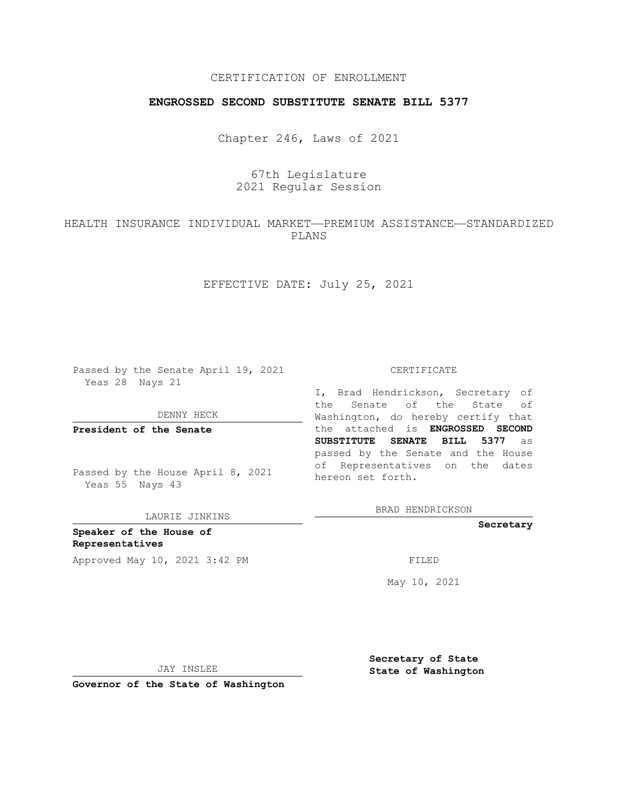## CERTIFICATION OF ENROLLMENT

### **ENGROSSED SECOND SUBSTITUTE SENATE BILL 5377**

Chapter 246, Laws of 2021

# 67th Legislature 2021 Regular Session

## HEALTH INSURANCE INDIVIDUAL MARKET—PREMIUM ASSISTANCE—STANDARDIZED PLANS

EFFECTIVE DATE: July 25, 2021

Passed by the Senate April 19, 2021 Yeas 28 Nays 21

DENNY HECK

**President of the Senate**

Passed by the House April 8, 2021 Yeas 55 Nays 43

LAURIE JINKINS

**Speaker of the House of Representatives** Approved May 10, 2021 3:42 PM FILED

#### CERTIFICATE

I, Brad Hendrickson, Secretary of the Senate of the State of Washington, do hereby certify that the attached is **ENGROSSED SECOND SUBSTITUTE SENATE BILL 5377** as passed by the Senate and the House of Representatives on the dates hereon set forth.

BRAD HENDRICKSON

**Secretary**

May 10, 2021

JAY INSLEE

**Secretary of State State of Washington**

**Governor of the State of Washington**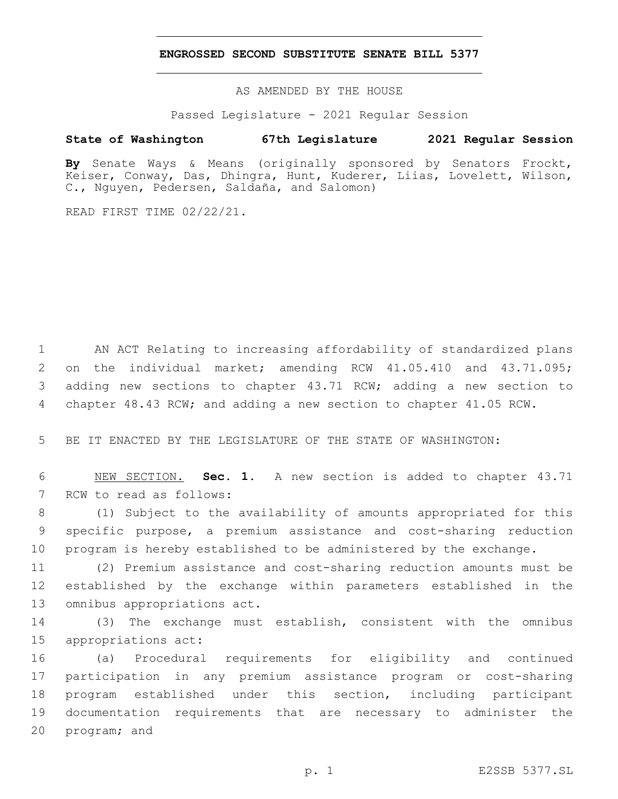#### **ENGROSSED SECOND SUBSTITUTE SENATE BILL 5377**

AS AMENDED BY THE HOUSE

Passed Legislature - 2021 Regular Session

## **State of Washington 67th Legislature 2021 Regular Session**

**By** Senate Ways & Means (originally sponsored by Senators Frockt, Keiser, Conway, Das, Dhingra, Hunt, Kuderer, Liias, Lovelett, Wilson, C., Nguyen, Pedersen, Saldaña, and Salomon)

READ FIRST TIME 02/22/21.

 AN ACT Relating to increasing affordability of standardized plans on the individual market; amending RCW 41.05.410 and 43.71.095; adding new sections to chapter 43.71 RCW; adding a new section to chapter 48.43 RCW; and adding a new section to chapter 41.05 RCW.

5 BE IT ENACTED BY THE LEGISLATURE OF THE STATE OF WASHINGTON:

6 NEW SECTION. **Sec. 1.** A new section is added to chapter 43.71 7 RCW to read as follows:

8 (1) Subject to the availability of amounts appropriated for this 9 specific purpose, a premium assistance and cost-sharing reduction 10 program is hereby established to be administered by the exchange.

11 (2) Premium assistance and cost-sharing reduction amounts must be 12 established by the exchange within parameters established in the 13 omnibus appropriations act.

14 (3) The exchange must establish, consistent with the omnibus 15 appropriations act:

 (a) Procedural requirements for eligibility and continued participation in any premium assistance program or cost-sharing program established under this section, including participant documentation requirements that are necessary to administer the 20 program; and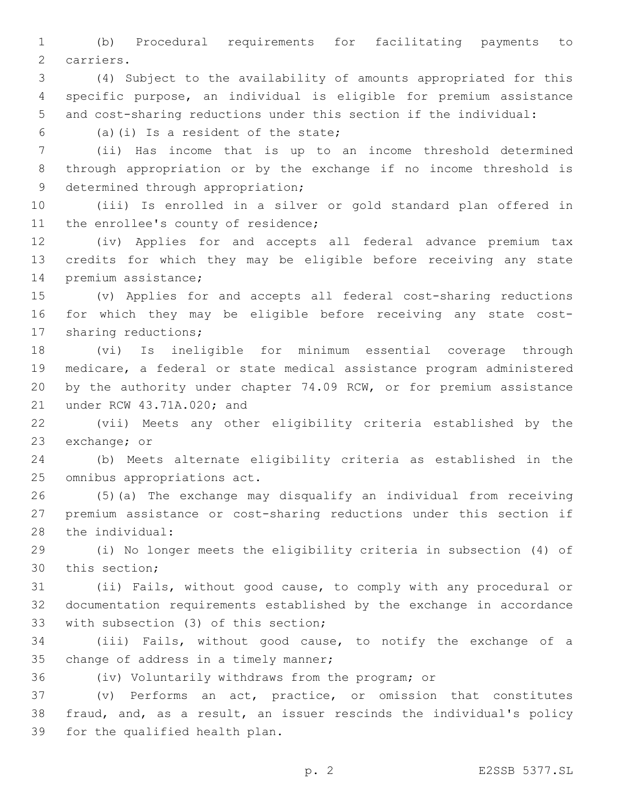(b) Procedural requirements for facilitating payments to 2 carriers.

 (4) Subject to the availability of amounts appropriated for this specific purpose, an individual is eligible for premium assistance and cost-sharing reductions under this section if the individual:

 $(5)$   $(1)$  Is a resident of the state;

 (ii) Has income that is up to an income threshold determined through appropriation or by the exchange if no income threshold is 9 determined through appropriation;

 (iii) Is enrolled in a silver or gold standard plan offered in 11 the enrollee's county of residence;

 (iv) Applies for and accepts all federal advance premium tax credits for which they may be eligible before receiving any state 14 premium assistance;

 (v) Applies for and accepts all federal cost-sharing reductions for which they may be eligible before receiving any state cost-17 sharing reductions;

 (vi) Is ineligible for minimum essential coverage through medicare, a federal or state medical assistance program administered by the authority under chapter 74.09 RCW, or for premium assistance 21 under RCW 43.71A.020; and

 (vii) Meets any other eligibility criteria established by the 23 exchange; or

 (b) Meets alternate eligibility criteria as established in the 25 omnibus appropriations act.

 (5)(a) The exchange may disqualify an individual from receiving premium assistance or cost-sharing reductions under this section if 28 the individual:

 (i) No longer meets the eligibility criteria in subsection (4) of 30 this section;

 (ii) Fails, without good cause, to comply with any procedural or documentation requirements established by the exchange in accordance 33 with subsection (3) of this section;

 (iii) Fails, without good cause, to notify the exchange of a 35 change of address in a timely manner;

(iv) Voluntarily withdraws from the program; or

 (v) Performs an act, practice, or omission that constitutes fraud, and, as a result, an issuer rescinds the individual's policy 39 for the qualified health plan.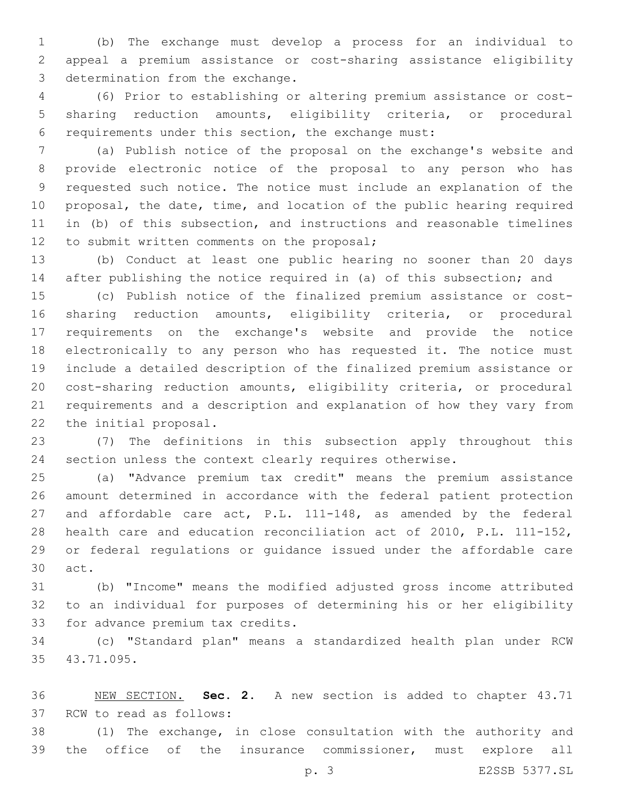(b) The exchange must develop a process for an individual to appeal a premium assistance or cost-sharing assistance eligibility 3 determination from the exchange.

 (6) Prior to establishing or altering premium assistance or cost- sharing reduction amounts, eligibility criteria, or procedural requirements under this section, the exchange must:

 (a) Publish notice of the proposal on the exchange's website and provide electronic notice of the proposal to any person who has requested such notice. The notice must include an explanation of the proposal, the date, time, and location of the public hearing required in (b) of this subsection, and instructions and reasonable timelines 12 to submit written comments on the proposal;

 (b) Conduct at least one public hearing no sooner than 20 days after publishing the notice required in (a) of this subsection; and

 (c) Publish notice of the finalized premium assistance or cost- sharing reduction amounts, eligibility criteria, or procedural requirements on the exchange's website and provide the notice electronically to any person who has requested it. The notice must include a detailed description of the finalized premium assistance or cost-sharing reduction amounts, eligibility criteria, or procedural requirements and a description and explanation of how they vary from 22 the initial proposal.

 (7) The definitions in this subsection apply throughout this section unless the context clearly requires otherwise.

 (a) "Advance premium tax credit" means the premium assistance amount determined in accordance with the federal patient protection and affordable care act, P.L. 111-148, as amended by the federal health care and education reconciliation act of 2010, P.L. 111-152, or federal regulations or guidance issued under the affordable care 30 act.

 (b) "Income" means the modified adjusted gross income attributed to an individual for purposes of determining his or her eligibility 33 for advance premium tax credits.

 (c) "Standard plan" means a standardized health plan under RCW 35 43.71.095.

 NEW SECTION. **Sec. 2.** A new section is added to chapter 43.71 37 RCW to read as follows:

 (1) The exchange, in close consultation with the authority and the office of the insurance commissioner, must explore all

p. 3 E2SSB 5377.SL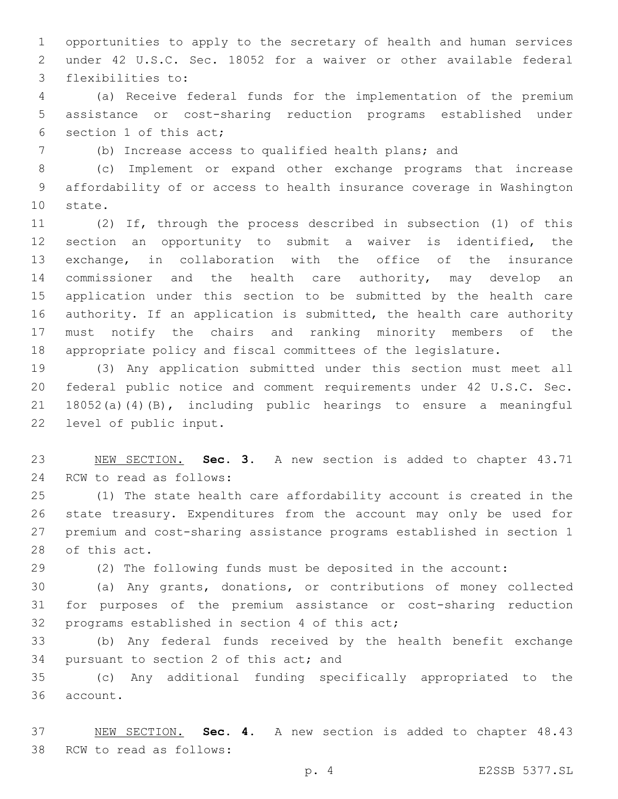opportunities to apply to the secretary of health and human services under 42 U.S.C. Sec. 18052 for a waiver or other available federal 3 flexibilities to:

 (a) Receive federal funds for the implementation of the premium assistance or cost-sharing reduction programs established under 6 section 1 of this act;

(b) Increase access to qualified health plans; and

 (c) Implement or expand other exchange programs that increase affordability of or access to health insurance coverage in Washington 10 state.

 (2) If, through the process described in subsection (1) of this section an opportunity to submit a waiver is identified, the exchange, in collaboration with the office of the insurance 14 commissioner and the health care authority, may develop an application under this section to be submitted by the health care authority. If an application is submitted, the health care authority must notify the chairs and ranking minority members of the appropriate policy and fiscal committees of the legislature.

 (3) Any application submitted under this section must meet all federal public notice and comment requirements under 42 U.S.C. Sec. 18052(a)(4)(B), including public hearings to ensure a meaningful 22 level of public input.

 NEW SECTION. **Sec. 3.** A new section is added to chapter 43.71 24 RCW to read as follows:

 (1) The state health care affordability account is created in the state treasury. Expenditures from the account may only be used for premium and cost-sharing assistance programs established in section 1 28 of this act.

(2) The following funds must be deposited in the account:

 (a) Any grants, donations, or contributions of money collected for purposes of the premium assistance or cost-sharing reduction 32 programs established in section 4 of this act;

 (b) Any federal funds received by the health benefit exchange 34 pursuant to section 2 of this act; and

 (c) Any additional funding specifically appropriated to the 36 account.

 NEW SECTION. **Sec. 4.** A new section is added to chapter 48.43 38 RCW to read as follows:

p. 4 E2SSB 5377.SL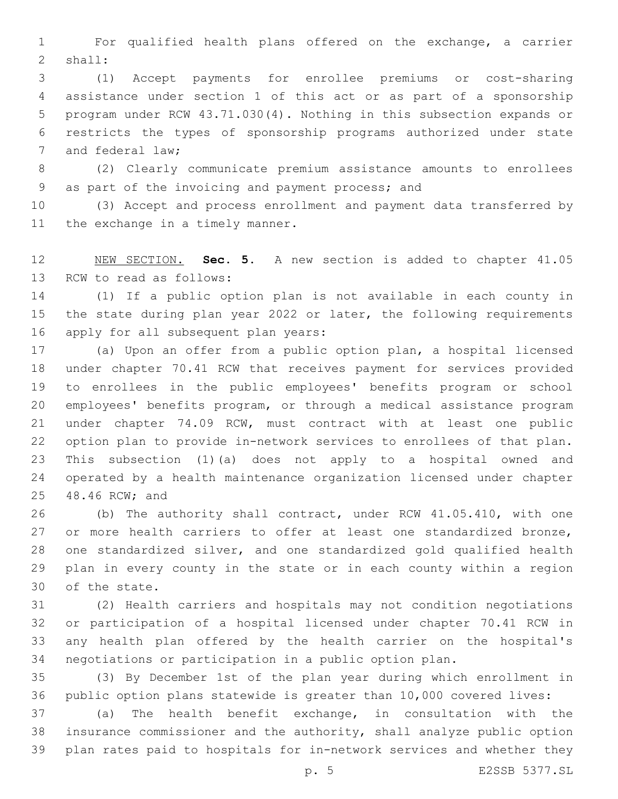For qualified health plans offered on the exchange, a carrier 2 shall:

 (1) Accept payments for enrollee premiums or cost-sharing assistance under section 1 of this act or as part of a sponsorship program under RCW 43.71.030(4). Nothing in this subsection expands or restricts the types of sponsorship programs authorized under state 7 and federal law;

 (2) Clearly communicate premium assistance amounts to enrollees 9 as part of the invoicing and payment process; and

 (3) Accept and process enrollment and payment data transferred by 11 the exchange in a timely manner.

 NEW SECTION. **Sec. 5.** A new section is added to chapter 41.05 13 RCW to read as follows:

 (1) If a public option plan is not available in each county in 15 the state during plan year 2022 or later, the following requirements 16 apply for all subsequent plan years:

 (a) Upon an offer from a public option plan, a hospital licensed under chapter 70.41 RCW that receives payment for services provided to enrollees in the public employees' benefits program or school employees' benefits program, or through a medical assistance program under chapter 74.09 RCW, must contract with at least one public option plan to provide in-network services to enrollees of that plan. This subsection (1)(a) does not apply to a hospital owned and operated by a health maintenance organization licensed under chapter 25 48.46 RCW; and

 (b) The authority shall contract, under RCW 41.05.410, with one 27 or more health carriers to offer at least one standardized bronze, one standardized silver, and one standardized gold qualified health plan in every county in the state or in each county within a region 30 of the state.

 (2) Health carriers and hospitals may not condition negotiations or participation of a hospital licensed under chapter 70.41 RCW in any health plan offered by the health carrier on the hospital's negotiations or participation in a public option plan.

 (3) By December 1st of the plan year during which enrollment in public option plans statewide is greater than 10,000 covered lives:

 (a) The health benefit exchange, in consultation with the insurance commissioner and the authority, shall analyze public option plan rates paid to hospitals for in-network services and whether they

p. 5 E2SSB 5377.SL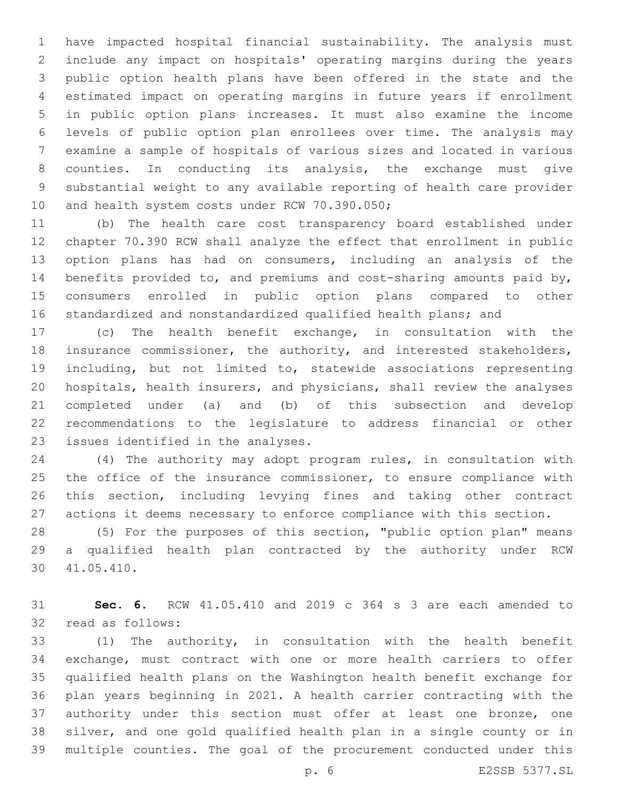have impacted hospital financial sustainability. The analysis must include any impact on hospitals' operating margins during the years public option health plans have been offered in the state and the estimated impact on operating margins in future years if enrollment in public option plans increases. It must also examine the income levels of public option plan enrollees over time. The analysis may examine a sample of hospitals of various sizes and located in various counties. In conducting its analysis, the exchange must give substantial weight to any available reporting of health care provider 10 and health system costs under RCW 70.390.050;

 (b) The health care cost transparency board established under chapter 70.390 RCW shall analyze the effect that enrollment in public option plans has had on consumers, including an analysis of the benefits provided to, and premiums and cost-sharing amounts paid by, consumers enrolled in public option plans compared to other standardized and nonstandardized qualified health plans; and

 (c) The health benefit exchange, in consultation with the insurance commissioner, the authority, and interested stakeholders, including, but not limited to, statewide associations representing hospitals, health insurers, and physicians, shall review the analyses completed under (a) and (b) of this subsection and develop recommendations to the legislature to address financial or other 23 issues identified in the analyses.

 (4) The authority may adopt program rules, in consultation with 25 the office of the insurance commissioner, to ensure compliance with this section, including levying fines and taking other contract actions it deems necessary to enforce compliance with this section.

 (5) For the purposes of this section, "public option plan" means a qualified health plan contracted by the authority under RCW 41.05.410.30

 **Sec. 6.** RCW 41.05.410 and 2019 c 364 s 3 are each amended to 32 read as follows:

 (1) The authority, in consultation with the health benefit exchange, must contract with one or more health carriers to offer qualified health plans on the Washington health benefit exchange for plan years beginning in 2021. A health carrier contracting with the 37 authority under this section must offer at least one bronze, one silver, and one gold qualified health plan in a single county or in multiple counties. The goal of the procurement conducted under this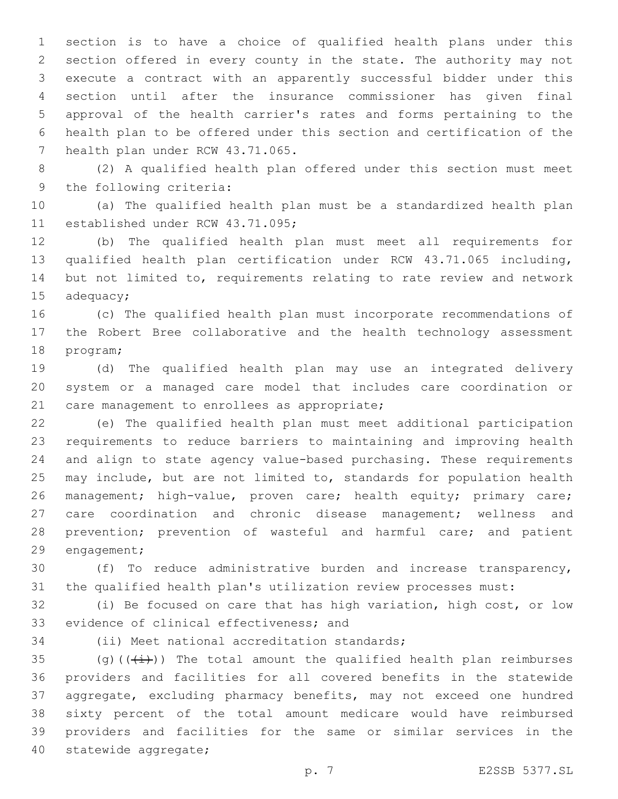section is to have a choice of qualified health plans under this section offered in every county in the state. The authority may not execute a contract with an apparently successful bidder under this section until after the insurance commissioner has given final approval of the health carrier's rates and forms pertaining to the health plan to be offered under this section and certification of the 7 health plan under RCW 43.71.065.

 (2) A qualified health plan offered under this section must meet 9 the following criteria:

 (a) The qualified health plan must be a standardized health plan 11 established under RCW 43.71.095;

 (b) The qualified health plan must meet all requirements for qualified health plan certification under RCW 43.71.065 including, but not limited to, requirements relating to rate review and network  $ad$ equacy;

 (c) The qualified health plan must incorporate recommendations of the Robert Bree collaborative and the health technology assessment 18 program;

 (d) The qualified health plan may use an integrated delivery system or a managed care model that includes care coordination or 21 care management to enrollees as appropriate;

 (e) The qualified health plan must meet additional participation requirements to reduce barriers to maintaining and improving health and align to state agency value-based purchasing. These requirements may include, but are not limited to, standards for population health 26 management; high-value, proven care; health equity; primary care; care coordination and chronic disease management; wellness and 28 prevention; prevention of wasteful and harmful care; and patient 29 engagement;

 (f) To reduce administrative burden and increase transparency, the qualified health plan's utilization review processes must:

 (i) Be focused on care that has high variation, high cost, or low 33 evidence of clinical effectiveness; and

34 (ii) Meet national accreditation standards;

35 (g)( $(\frac{1}{1})$ ) The total amount the qualified health plan reimburses providers and facilities for all covered benefits in the statewide aggregate, excluding pharmacy benefits, may not exceed one hundred sixty percent of the total amount medicare would have reimbursed providers and facilities for the same or similar services in the 40 statewide aggregate;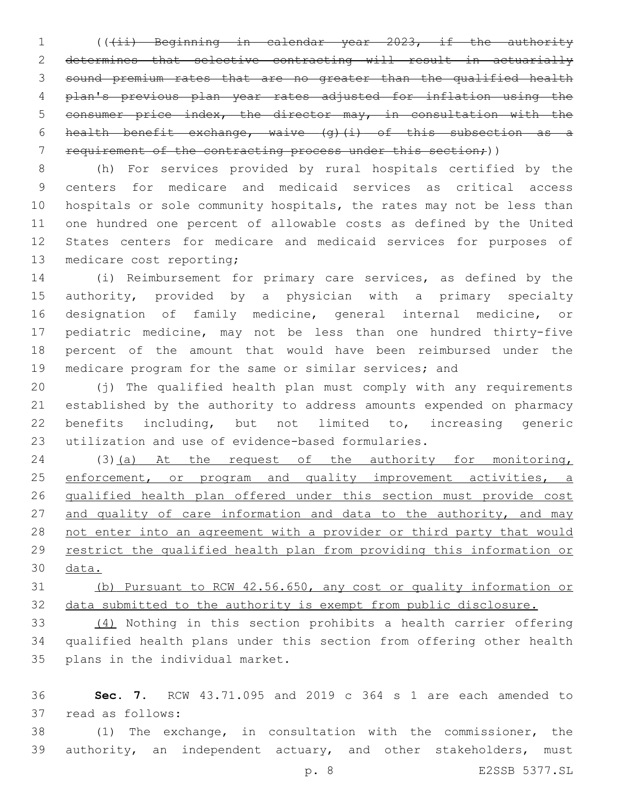1 (((ii) Beginning in calendar year 2023, if the authority determines that selective contracting will result in actuarially sound premium rates that are no greater than the qualified health plan's previous plan year rates adjusted for inflation using the consumer price index, the director may, in consultation with the 6 health benefit exchange, waive  $(g)$  (i) of this subsection as a 7 requirement of the contracting process under this section;))

 (h) For services provided by rural hospitals certified by the centers for medicare and medicaid services as critical access hospitals or sole community hospitals, the rates may not be less than one hundred one percent of allowable costs as defined by the United States centers for medicare and medicaid services for purposes of 13 medicare cost reporting;

 (i) Reimbursement for primary care services, as defined by the authority, provided by a physician with a primary specialty designation of family medicine, general internal medicine, or pediatric medicine, may not be less than one hundred thirty-five percent of the amount that would have been reimbursed under the 19 medicare program for the same or similar services; and

 (j) The qualified health plan must comply with any requirements established by the authority to address amounts expended on pharmacy benefits including, but not limited to, increasing generic utilization and use of evidence-based formularies.

 (3)(a) At the request of the authority for monitoring, 25 enforcement, or program and quality improvement activities, a qualified health plan offered under this section must provide cost 27 and quality of care information and data to the authority, and may not enter into an agreement with a provider or third party that would restrict the qualified health plan from providing this information or data.

 (b) Pursuant to RCW 42.56.650, any cost or quality information or data submitted to the authority is exempt from public disclosure.

 (4) Nothing in this section prohibits a health carrier offering qualified health plans under this section from offering other health 35 plans in the individual market.

 **Sec. 7.** RCW 43.71.095 and 2019 c 364 s 1 are each amended to 37 read as follows:

 (1) The exchange, in consultation with the commissioner, the 39 authority, an independent actuary, and other stakeholders, must

p. 8 E2SSB 5377.SL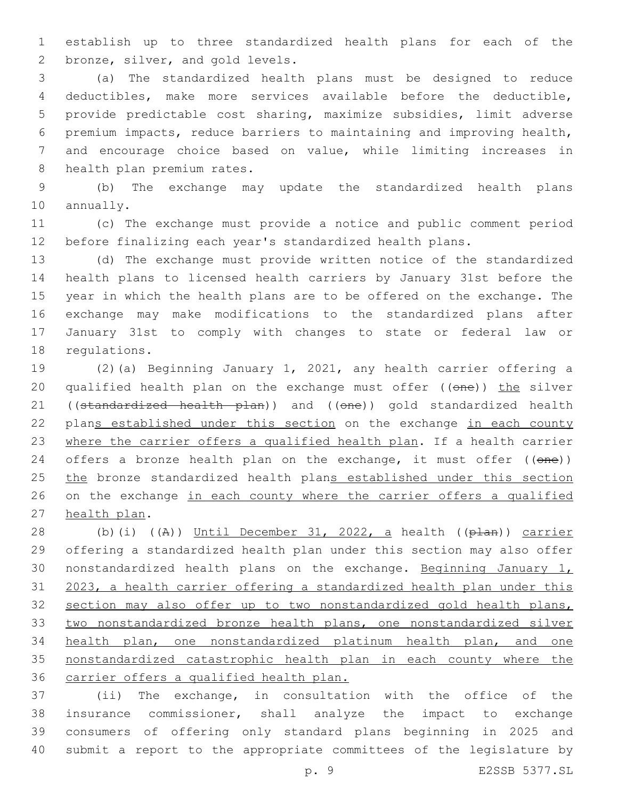establish up to three standardized health plans for each of the 2 bronze, silver, and gold levels.

 (a) The standardized health plans must be designed to reduce deductibles, make more services available before the deductible, provide predictable cost sharing, maximize subsidies, limit adverse premium impacts, reduce barriers to maintaining and improving health, and encourage choice based on value, while limiting increases in 8 health plan premium rates.

 (b) The exchange may update the standardized health plans 10 annually.

 (c) The exchange must provide a notice and public comment period before finalizing each year's standardized health plans.

 (d) The exchange must provide written notice of the standardized health plans to licensed health carriers by January 31st before the year in which the health plans are to be offered on the exchange. The exchange may make modifications to the standardized plans after January 31st to comply with changes to state or federal law or 18 requlations.

 (2)(a) Beginning January 1, 2021, any health carrier offering a 20 qualified health plan on the exchange must offer ((one)) the silver 21 ((standardized health plan)) and ((one)) gold standardized health 22 plans established under this section on the exchange in each county where the carrier offers a qualified health plan. If a health carrier 24 offers a bronze health plan on the exchange, it must offer ((one)) 25 the bronze standardized health plans established under this section 26 on the exchange in each county where the carrier offers a qualified 27 health plan.

 (b)(i) ((A)) Until December 31, 2022, a health ((plan)) carrier offering a standardized health plan under this section may also offer 30 nonstandardized health plans on the exchange. Beginning January 1, 2023, a health carrier offering a standardized health plan under this section may also offer up to two nonstandardized gold health plans, two nonstandardized bronze health plans, one nonstandardized silver health plan, one nonstandardized platinum health plan, and one nonstandardized catastrophic health plan in each county where the carrier offers a qualified health plan.

 (ii) The exchange, in consultation with the office of the insurance commissioner, shall analyze the impact to exchange consumers of offering only standard plans beginning in 2025 and submit a report to the appropriate committees of the legislature by